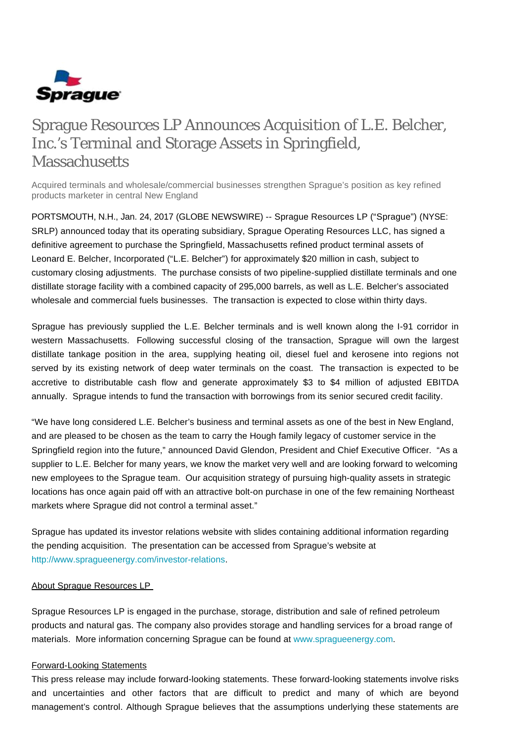

# Sprague Resources LP Announces Acquisition of L.E. Belcher, Inc.'s Terminal and Storage Assets in Springfield, **Massachusetts**

Acquired terminals and wholesale/commercial businesses strengthen Sprague's position as key refined products marketer in central New England

PORTSMOUTH, N.H., Jan. 24, 2017 (GLOBE NEWSWIRE) -- Sprague Resources LP ("Sprague") (NYSE: SRLP) announced today that its operating subsidiary, Sprague Operating Resources LLC, has signed a definitive agreement to purchase the Springfield, Massachusetts refined product terminal assets of Leonard E. Belcher, Incorporated ("L.E. Belcher") for approximately \$20 million in cash, subject to customary closing adjustments. The purchase consists of two pipeline-supplied distillate terminals and one distillate storage facility with a combined capacity of 295,000 barrels, as well as L.E. Belcher's associated wholesale and commercial fuels businesses. The transaction is expected to close within thirty days.

Sprague has previously supplied the L.E. Belcher terminals and is well known along the I-91 corridor in western Massachusetts. Following successful closing of the transaction, Sprague will own the largest distillate tankage position in the area, supplying heating oil, diesel fuel and kerosene into regions not served by its existing network of deep water terminals on the coast. The transaction is expected to be accretive to distributable cash flow and generate approximately \$3 to \$4 million of adjusted EBITDA annually. Sprague intends to fund the transaction with borrowings from its senior secured credit facility.

"We have long considered L.E. Belcher's business and terminal assets as one of the best in New England, and are pleased to be chosen as the team to carry the Hough family legacy of customer service in the Springfield region into the future," announced David Glendon, President and Chief Executive Officer. "As a supplier to L.E. Belcher for many years, we know the market very well and are looking forward to welcoming new employees to the Sprague team. Our acquisition strategy of pursuing high-quality assets in strategic locations has once again paid off with an attractive bolt-on purchase in one of the few remaining Northeast markets where Sprague did not control a terminal asset."

Sprague has updated its investor relations website with slides containing additional information regarding the pending acquisition. The presentation can be accessed from Sprague's website at [http://www.spragueenergy.com/investor-relations.](http://www.spragueenergy.com/investor-relations)

### About Sprague Resources LP

Sprague Resources LP is engaged in the purchase, storage, distribution and sale of refined petroleum products and natural gas. The company also provides storage and handling services for a broad range of materials. More information concerning Sprague can be found at [www.spragueenergy.com](http://www.spragueenergy.com/).

## Forward-Looking Statements

This press release may include forward-looking statements. These forward-looking statements involve risks and uncertainties and other factors that are difficult to predict and many of which are beyond management's control. Although Sprague believes that the assumptions underlying these statements are